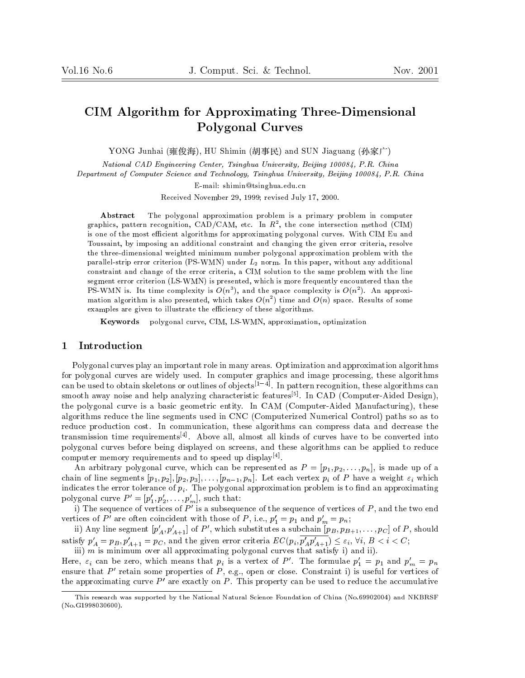# CIM Algorithm for Approximating Three-Dimensional Polygonal Curves

YONG Junhai (), HU Shimin (-) and SUN Jiaguang ()

National CAD Engineering Center, Tsinghua University, Beijing 100084, P.R. China

Department of Computer Science and Technology, Tsinghua University, Beijing 100084, P.R. China

E-mail: shimin@tsinghua.edu.cn  $\mathbb{R}$ 

Received November 29, 1999; revised July 17, 2000.

Abstract The polygonal approximation problem is a primary problem in computer graphics, pattern recognition,  $\mathrm{CAD/CAM}$ , etc. In  $K^+$ , the cone intersection method (CIM) is one of the most efficient algorithms for approximating polygonal curves. With CIM Eu and Toussaint, by imposing an additional constraint and changing the given error criteria, resolve the three-dimensional weighted minimum number polygonal approximation problem with the parallel-strip error criterion (PS-WMN) under  $L_2$  norm. In this paper, without any additional constraint and change of the error criteria, a CIM solution to the same problem with the line segment error criterion (LS-WMN) is presented, which is more frequently encountered than the PS-WMN is. Its time complexity is  $O(n^2)$ , and the space complexity is  $O(n^2)$ . An approximation algorithm is also presented, which takes  $O(n^2)$  time and  $O(n)$  space. Results of some examples are given to illustrate the efficiency of these algorithms.

Keywords polygonal curve, CIM, LS-WMN, approximation, optimization

### 1 Introduction

Polygonal curves play an important role in many areas. Optimization and approximation algorithms for polygonal curves are widely used. In computer graphics and image processing, these algorithms can be used to obtain skeletons or outlines of objects[14]. In pattern recognition, these algorithms can smooth away noise and help analyzing characteristic features<sup>[5]</sup>. In CAD (Computer-Aided Design), the polygonal curve is a basic geometric entity. In CAM (Computer-Aided Manufacturing), these algorithms reduce the line segments used in CNC (Computerized Numerical Control) paths so as to reduce production cost. In communication, these algorithms can compress data and decrease the transmission time requirements $[4]$ . Above all, almost all kinds of curves have to be converted into polygonal curves before being displayed on screens, and these algorithms can be applied to reduce computer memory requirements and to speed up display<sup>[4]</sup>.

An arbitrary polygonal curve, which can be represented as  $P = [p_1, p_2, \ldots, p_n]$ , is made up of a chain of line segments  $[p_1, p_2], [p_2, p_3], \ldots, [p_{n-1}, p_n]$ . Let each vertex  $p_i$  of P have a weight  $\varepsilon_i$  which indicates the error tolerance of  $p_i$ . The polygonal approximation problem is to find an approximating polygonal curve  $P' = [p'_1, p'_2, \ldots, p'_m]$ , such that:

i) The sequence of vertices of  $P'$  is a subsequence of the sequence of vertices of  $P$ , and the two end vertices of P are often coincident with those of P, i.e.,  $p_1 = p_1$  and  $p_m = p_n$ ;

ii) Any line segment  $[p_A, p_{A+1}]$  of P , which substitutes a subchain  $[p_B, p_{B+1},\ldots,p_C]$  of P, should satisfy  $p'_A = p_B, p'_{A+1} = p_C$ , and the given error criteria  $EC(p_i, p'_A p'_{A+1}) \leq \varepsilon_i, \forall i, B < i < C;$ 

iii)  $m$  is minimum over all approximating polygonal curves that satisfy i) and ii). Here,  $\varepsilon_i$  can be zero, which means that  $p_i$  is a vertex of P'. The formulae  $p'_1 = p_1$  and  $p'_m = p_n$ 

ensure that P' retain some properties of P, e.g., open or close. Constraint i) is useful for vertices of the approximating curve  $P'$  are exactly on P. This property can be used to reduce the accumulative

This research was supported by the National Natural Science Foundation of China (No.69902004) and NKBRSF (No.G1998030600).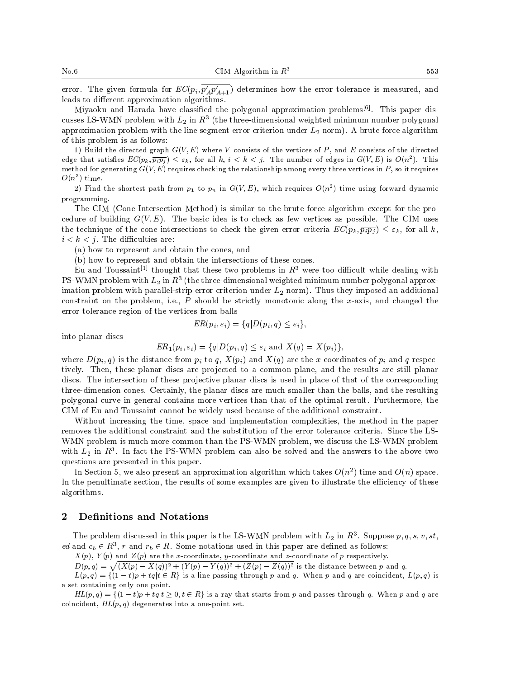error. The given formula for  $EC(p_i, p_A' p_{A+1}')$  determines how the error tolerance is measured, and leads to different approximation algorithms.

Miyaoku and Harada have classified the polygonal approximation problems<sup>[6]</sup>. This paper discusses LS-WMN problem with  $L_2$  in  $K^+$  (the three-dimensional weighted minimum number polygonal  $\,$ approximation problem with the line segment error criterion under  $L_2$  norm). A brute force algorithm of this problem is as follows:

1) Build the directed graph  $G(V, E)$  where V consists of the vertices of  $P$ , and E consists of the directed edge that satisfies  $EC(p_k, p_i p_j) \leq \varepsilon_k$ , for all  $k, \, i \leq k \leq \gamma$ . The number of edges in  $G(V, E)$  is  $O(n^-)$ . This method for generating  $G(V, E)$  requires checking the relationship among every three vertices in P, so it requires  $O(n^{\epsilon})$  time.

2) Find the shortest path from  $p_1$  to  $p_n$  in  $G(V,E)$ , which requires  $O(n^2)$  time using forward dynamic programming.

The CIM (Cone Intersection Method) is similar to the brute force algorithm except for the procedure of building  $G(V, E)$ . The basic idea is to check as few vertices as possible. The CIM uses the technique of the cone intersections to check the given error criteria  $EC(p_k, \overline{p_i p_j}) \leq \varepsilon_k$ , for all k,  $i < k < j$ . The difficulties are:

(a) how to represent and obtain the cones, and

(b) how to represent and obtain the intersections of these cones.

Eu and Toussaint Funought that these two problems in  $R$  were too dimicult while dealing with  $_{\rm F}$ s-w Mix problem with  $L_2$  in  $R_3$  (the three-dimensional weighted minimum number polygonal approximation problem with parallel-strip error criterion under  $L_2$  norm). Thus they imposed an additional constraint on the problem, i.e.,  $P$  should be strictly monotonic along the x-axis, and changed the error tolerance region of the vertices from balls

$$
ER(p_i, \varepsilon_i) = \{q|D(p_i, q) \leq \varepsilon_i\},\
$$

into planar discs

$$
ER_1(p_i, \varepsilon_i) = \{q|D(p_i, q) \leq \varepsilon_i \text{ and } X(q) = X(p_i)\},
$$

where  $D(p_i, q)$  is the distance from  $p_i$  to  $q$ ,  $X(p_i)$  and  $X(q)$  are the x-coordinates of  $p_i$  and q respectively. Then, these planar discs are projected to a common plane, and the results are still planar discs. The intersection of these projective planar discs is used in place of that of the corresponding three-dimension cones. Certainly, the planar discs are much smaller than the balls, and the resulting polygonal curve in general contains more vertices than that of the optimal result. Furthermore, the CIM of Eu and Toussaint cannot be widely used because of the additional constraint.

Without increasing the time, space and implementation complexities, the method in the paper removes the additional constraint and the substitution of the error tolerance criteria. Since the LS-WMN problem is much more common than the PS-WMN problem, we discuss the LS-WMN problem with  $L_2$  in  $R_3$ . In fact the PS-WMN problem can also be solved and the answers to the above two questions are presented in this paper.

In Section 5, we also present an approximation algorithm which takes  $O(n^2)$  time and  $O(n)$  space. In the penultimate section, the results of some examples are given to illustrate the efficiency of these algorithms.

#### 2 Definitions and Notations

The problem discussed in this paper is the LS-WMN problem with  $L_2$  in R  $\,$ . Suppose  $p, q, s, v, s t,$ ed and  $c_b \in R$ , r and  $r_b \in R$ . Some notations used in this paper are defined as follows:

 $X(p)$ ,  $Y(p)$  and  $Z(p)$  are the x-coordinate, y-coordinate and z-coordinate of p respectively.

 $D(p,q) = \sqrt{(X(p) - X(q))^2 + (Y(p) - Y(q))^2 + (Z(p) - Z(q))^2}$  is the distance between p and q.

 $L(p,q) = \{(1-t)p + tq | t \in R\}$  is a line passing through p and q. When p and q are coincident,  $L(p,q)$  is a set containing only one point.

 $HL(p,q) = \{(1-t)p + tq|t \geq 0, t \in R\}$  is a ray that starts from p and passes through q. When p and q are coincident,  $HL(p, q)$  degenerates into a one-point set.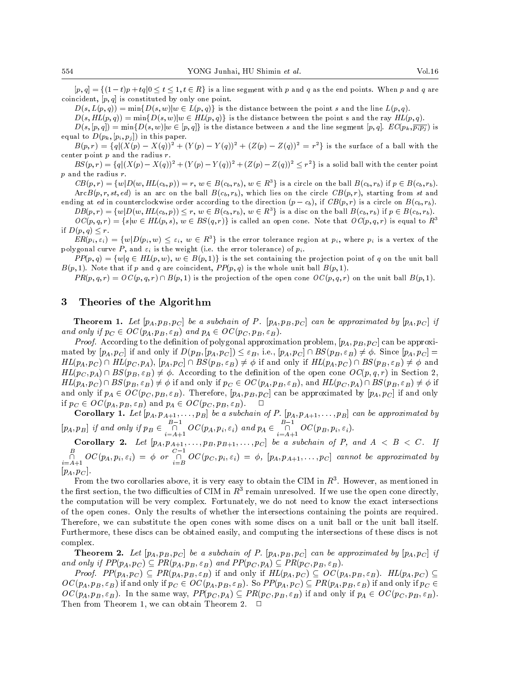$[p; q] = [1 - v]p + vq] \circ \cdots \circ 1; v \in \mathbb{R}^n$  is a line segment with p and  $q$  as the end points. When  $p$  and  $q$  are coincident,  $[p, q]$  is constituted by only one point.

 $D(s, L(p,q)) = \min\{D(s, w)|w \in L(p,q)\}\$ is the distance between the point s and the line  $L(p,q)$ .

 $D(s, HL(p,q)) = \min\{D(s, w)|w \in HL(p,q)\}\$  is the distance between the point s and the ray  $HL(p,q)$ .

 $D(s,[p,q]) = \min\{D(s,w)|w \in [p,q]\}$  is the distance between s and the line segment  $[p,q]$ .  $EC(p_k,\overline{p_ip_j})$  is equal to  $D(p_k, [p_i, p_j])$  in this paper.

 $B(p, r) = \{q \mid X(p) - X(q)\}^+ + \{Y(p) - Y(q)\}^- + \{Z(p) - Z(q)\}^- = r^+$  is the surface of a ball with the center point  $p$  and the radius  $r$ .

 $B\mathcal{S}(p,r) = \{q \mid (X(p) - X(q))| + (Y(p) - Y(q))| + (Z(p) - Z(q))| \leq r \}$  is a solid ball with the center point <sup>p</sup> and the radius r.

 $CB(p, r) = \{w|D(w, HL(c_b, p)) = r, w \in B(c_b, r_b), w \in R^3\}$  is a circle on the ball  $B(c_b, r_b)$  if  $p \in B(c_b, r_b)$ .  $\text{ArcB}(p, r, st, ed)$  is an arc on the ball  $B(c_b, r_b)$ , which lies on the circle  $CB(p, r)$ , starting from st and

ending at ed in counterclockwise order according to the direction (p cb), if CB(p; r) is <sup>a</sup> circle on B(cb ; rb).  $DB(p, r) = \{w|D(w, HL(c_b, p)) \le r, w \in B(c_b, r_b), w \in R^3\}$  is a disc on the ball  $B(c_b, r_b)$  if  $p \in B(c_b, r_b)$ .  $OC(p, q, r) = \{s | w \in HL(p, s), w \in BS(q, r)\}\$ is called an open cone. Note that  $OC(p, q, r)$  is equal to  $R<sup>3</sup>$ 

 $\mathbf{r} \cdot \mathbf{r} = \mathbf{r} \cdot \mathbf{r}$  $ER(p_i, \varepsilon_i) = \{w|D(p_i, w) \leq \varepsilon_i, w \in R^3\}$  is the error tolerance region at  $p_i$ , where  $p_i$  is a vertex of the

polygonal curve P, and  $\varepsilon_i$  is the weight (i.e. the error tolerance) of  $p_i$ .  $PP(p,q) = \{w|q \in HL(p,w), w \in B(p,1)\}\$ is the set containing the projection point of q on the unit ball

 $B(p, 1)$ . Note that if p and q are coincident,  $PP(p, q)$  is the whole unit ball  $B(p, 1)$ .  $PR(p, q, r) = OC(p, q, r) \cap B(p, 1)$  is the projection of the open cone  $OC(p, q, r)$  on the unit ball  $B(p, 1)$ .

### 3 Theories of the Algorithm

**Theorem 1.** Let  $[p_A, p_B, p_C]$  be a subchain of P.  $[p_A, p_B, p_C]$  can be approximated by  $[p_A, p_C]$  if and only if  $p$   $\alpha$   $\beta$  occurs and parameters and parameters  $p$ . The parameters  $p$ 

 $\mathcal{P}$  respectively. According to the deterministic polygonal approximation problem, [pA; pB; pC] can be approximation mated by  $[p_A, p_C]$  if and only if  $D(p_B, [p_A, p_C]) \le \varepsilon_B$ , i.e.,  $[p_A, p_C] \cap BS(p_B, \varepsilon_B) \neq \emptyset$ . Since  $[p_A, p_C] =$  $HL(p_A, p_C) \cap HL(p_C, p_A), [p_A, p_C] \cap BS(p_B, \varepsilon_B) \neq \phi$  if and only if  $HL(p_A, p_C) \cap BS(p_B, \varepsilon_B) \neq \phi$  and  $HL(p_C, p_A) \cap BS(p_B, \varepsilon_B) \neq \emptyset$ . According to the definition of the open cone  $OC(p, q, r)$  in Section 2,  $HL(p_A, p_C) \cap BS(p_B, \varepsilon_B) \neq \phi$  if and only if  $p_C \in OC(p_A, p_B, \varepsilon_B)$ , and  $HL(p_C, p_A) \cap BS(p_B, \varepsilon_B) \neq \phi$  if and only if  $p_A \in OC(p_C, p_B, \varepsilon_B)$ . Therefore,  $[p_A, p_B, p_C]$  can be approximated by  $[p_A, p_C]$  if and only  $i: P\cup 2 = 0$  or  $p\cup 3 = 0$ ; "B) and part part  $p\in 2$  or  $p\in 2$ . 2 occurs  $p\in 2$ . 2 occurs  $p\in 2$ . 2 occurs  $p\in 2$ . 2 occurs  $p\in 2$ . 2 occurs  $p\in 2$ . 2 occurs  $p\in 2$ . 2 occurs  $p\in 2$ . 2 occurs  $p\in 2$ . 2 occurs  $p$ 

Corollary 1. Let [pA; pA+1;:::;pB] be <sup>a</sup> subchain of P. [pA; pA+1;:::;pB] can be approximated by  $[p_A, p_B]$  if and only if  $p_B \in \bigcap_{i=A+1} OC(p_A, p_i, \varepsilon_i)$  and  $p_A \in \bigcap_{i=A+1} OC(p_B, p_i, \varepsilon_i)$ .

 $C\subset\mathbb{R}$  . Let  $[PA; t^*A+t^*]$  and  $[0, t^*B+t^*B+t^*B]$  be a subchaint of P, and A  $\subset$  A  $\subset$  A  $\subset$  A  $\subset$  A  $\subset$  $\overline{\bigcap_{i=A+1} OC(p_A,p_i,\varepsilon_i)} = \phi$  or  $\overline{\bigcap_{i=B} OC(p_C,p_i,\varepsilon_i)} = \phi$ ,  $[p_A,p_{A+1},\ldots,p_C]$  cannot be approximated by  $|p_A, p_C|$ .

From the two corollaries above, it is very easy to obtain the CTM in  $R^+$ . However, as inemtioned in Fig. 7. the instruction, the two difficulties of CTM in  $R^+$  remain unresolved. If we use the open cone directly, the computation will be very complex. Fortunately, we do not need to know the exact intersections of the open cones. Only the results of whether the intersections containing the points are required. Therefore, we can substitute the open cones with some discs on a unit ball or the unit ball itself. Furthermore, these discs can be obtained easily, and computing the intersections ofthese discs is not complex.

**Theorem 2.** Let  $[p_A, p_B, p_C]$  be a subchain of P.  $[p_A, p_B, p_C]$  can be approximated by  $[p_A, p_C]$  if and only if P(pa; pc)  $p$  if  $P$  and  $P$  if  $B$  ) and  $P$  and  $P$  and  $P$  if  $B$  is particle in  $B$  . Then  $P$ 

Proof. PP(pa; pC )  $\mu$  if the proof. Proof. Proof. If and only if  $\mu$  if  $\mu$ ,  $\mu$  ) if  $\mu$  if  $\mu$ . Hence,  $\mu$  $\sigma$  (pa; pb; "B) if and only if pC 2 occupation if  $D$ ; "B). So PP(pa; pC ) if and  $D$ ;  $D$  if and only if  $D$  2 occupation if  $D$  $O(\Gamma)$ . In the same was way, PP(pC). In the same way,  $P$  is the same way, if  $p$  if  $p$  or  $p$ ,  $p$ Then from Theorem 1, we can obtain Theorem 2.  $\Box$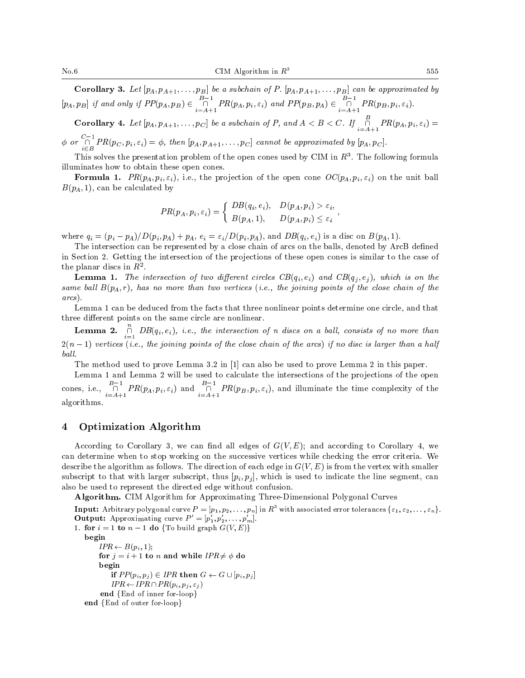$\mathcal{C}$  -representing 3. Let  $\mathcal{D}$  be a subchainted by a subchainted by a subchainted by a subchainted by a subchainted by a subchainted by a subchainted by a subchainted by a subchainted by a subchainted by a subchai  $[p_A, p_B]$  if and only if  $PP(p_A, p_B) \in \bigcap_{i=A+1} PR(p_A, p_i, \varepsilon_i)$  and  $PP(p_B, p_A) \in \bigcap_{i=A+1} PR(p_B, p_i, \varepsilon_i)$ .

**Corollary 4.** Let  $[p_A, p_{A+1},..., p_C]$  be a subchain of P, and  $A < B < C$ . If  $\overline{\cap}$   $PR(p_A, p_i, \varepsilon_i) =$ i=A+1

 $\phi$  or  $\bigcap_{i\in B} PR(p_C, p_i, \varepsilon_i) = \phi$ , then  $[p_A, p_{A+1}, \ldots, p_C]$  cannot be approximated by  $[p_A, p_C]$ .

This solves the presentation problem of the open cones used by CTM in  $R^3$ . The following formula illuminates how to obtain these open cones.

**Formula 1.**  $PR(p_A, p_i, \varepsilon_i)$ , i.e., the projection of the open cone  $OC(p_A, p_i, \varepsilon_i)$  on the unit ball  $B(p_A, 1)$ , can be calculated by

$$
PR(p_A, p_i, \varepsilon_i) = \begin{cases} DB(q_i, e_i), & D(p_A, p_i) > \varepsilon_i, \\ B(p_A, 1), & D(p_A, p_i) \le \varepsilon_i \end{cases}
$$

 $\mathbf{r}$  , and the contract of the contract of the contract of the contract of the contract of the contract of the contract of the contract of the contract of the contract of the contract of the contract of the contract o

where  $q_i = (p_i - p_A)/D(p_i, p_A) + p_A$ ,  $e_i = \varepsilon_i/D(p_i, p_A)$ , and  $DB(q_i, e_i)$  is a disc on  $B(p_A, 1)$ .

The intersection can be represented by a close chain of arcs on the balls, denoted by ArcB defined in Section 2. Getting the intersection of the projections of these open cones is similar to the case of the planar discs in  $R^2$ .

**Lemma 1.** The intersection of two different circles  $CB(q_i, e_i)$  and  $CB(q_i, e_j)$ , which is on the same ball  $B(p_A,r)$ , has no more than two vertices (i.e., the joining points of the close chain of the  $\sim$ arcs).

Lemma 1 can be deduced from the facts that three nonlinear points determine one circle, and that three different points on the same circle are nonlinear.

**Lemma 2.**  $\bigcap_{i=1} DB(q_i, e_i)$ , i.e., the intersection of n discs on a ball, consists of no more than 2(n 1) vertices (i.e., the joining points of the close chain of the arcs) if no disc is larger than <sup>a</sup> half ball.

The method used to prove Lemma 3.2 in [1] can also be used to prove Lemma 2 in this paper.

Lemma 1 and Lemma 2 will be used to calculate the intersections of the projections of the open cones, i.e.,  $\bigcap_{i=A+1}^{\infty} PR(p_A, p_i, \varepsilon_i)$  and  $\bigcap_{i=A+1}^{\infty} PR(p_B, p_i, \varepsilon_i)$ , and illuminate the time complexity of the algorithms algorithms. The contract of the contract of the contract of the contract of the contract of the contract of the contract of the contract of the contract of the contract of the contract of the contract of the contract of th

#### 4 Optimization Algorithm

According to Corollary 3, we can find all edges of  $G(V, E)$ ; and according to Corollary 4, we can determine when to stop working on the successive vertices while checking the error criteria. We describe the algorithm as follows. The direction of each edge in  $G(V, E)$  is from the vertex with smaller subscript to that with larger subscript, thus  $[p_i, p_j]$ , which is used to indicate the line segment, can also be used to represent the directed edge without confusion.

Algorithm. CIM Algorithm for Approximating Three-Dimensional Polygonal Curves

**Input:** Arbitrary polygonal curve  $P = [p_1, p_2, \ldots, p_n]$  in  $R^3$  with associated error tolerances  $\{\varepsilon_1, \varepsilon_2, \ldots, \varepsilon_n\}$ . **Output:** Approximating curve  $P = [p_1, p_2, \ldots, p_m].$  $1.$  for interesting graph G(V) do fterminal graph  $\mathbb{E}[\mathbf{z}]$ 

begin  $IPR \leftarrow B(p_i, 1);$ for  $j = i + 1$  to n and while  $IPR \neq \phi$  do begin if  $PP(p_i, p_j) \in IPR$  then  $G \leftarrow G \cup [p_i, p_j]$  $IPR \leftarrow IPR \cap PR(p_i, p_j, \varepsilon_j )$ end fEnd of inner for-loop inner for-loop inner for-loop inner for-loop inner for-loop inner for-loop inner for end of  $\epsilon$  and  $\epsilon$  of outer for-loopging for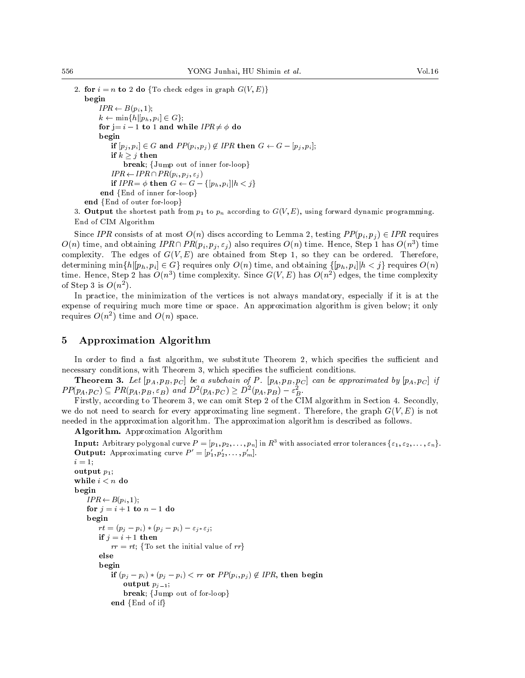$2.$  for it is a dominant edge in graph G(V;E)g(V) begin  $IPR \leftarrow B(p_i, 1);$  $k \leftarrow \min\{h | [p_h, p_i] \in G\};$ for j= <sup>i</sup> <sup>1</sup> to <sup>1</sup> and while IPR 6= do begins the control of the control of the control of the control of the control of the control of the control of if  $[p_j, p_i] \in G$  and  $PP(p_i, p_j) \notin IPR$  then  $G \leftarrow G - [p_j, p_i]$ ; if the state of the state of the state of the state of the state of the state of the state of the state of the break; for inner for-loop out of inner for-loop.  $IPR \leftarrow IPR \cap PR(p_i, p_j, \varepsilon_j)$ if  $IPR = \phi$  then  $G \leftarrow G - \{[p_h, p_i] | h < j\}$ end fEnd of inner for-loop inner for-loop inner for-loop inner for-loop inner for-loop inner for-loop inner for end and fend of output for an extent for loop and contact the contact of the contact of the contact of the contact of the contact of the contact of the contact of the contact of the contact of the contact of the contact of

3. Output the shortest path from  $p_1$  to  $p_n$  according to  $G(V, E)$ , using forward dynamic programming. End of CIM Algorithm

Since IPR consists of at most  $O(n)$  discs according to Lemma 2, testing  $PP(p_i, p_j) \in IPR$  requires  $O(n)$  time, and obtaining  $IPR(\mathcal{P}_i, \mathcal{P}_j, \varepsilon_j)$  also requires  $O(n)$  time. Hence, Step 1 has  $O(n)$  ) time complexity. The edges of  $G(V, E)$  are obtained from Step 1, so they can be ordered. Therefore, determining  $\min\{h|[p_h, p_i] \in G\}$  requires only  $O(n)$  time, and obtaining  $\{[p_h, p_i] | h < j\}$  requires  $O(n)$ time. Hence, Step 2 has  $O(n)$  time complexity. Since G(V, E) has  $O(n)$  edges, the time complexity of step 3 is  $O(n^2)$ .

In practice, the minimization of the vertices is not always mandatory, especially if it is at the expense of requiring much more time or space. An approximation algorithm is given below; it only requires  $O(n^2)$  time and  $O(n)$  space.

#### 5 5 Approximation Algorithm

In order to find a fast algorithm, we substitute Theorem 2, which specifies the sufficient and necessary conditions, with Theorem 3, which specifies the sufficient conditions.

**Theorem 3.** Let  $[p_A, p_B, p_C]$  be a subchain of P.  $[p_A, p_B, p_C]$  can be approximated by  $[p_A, p_C]$  if  $PP(p_A, p_C) \subseteq PR(p_A, p_B, \varepsilon_B)$  and  $D^{-}(p_A, p_C) \geq D^{-}(p_A, p_B) - \varepsilon_B$ .

Firstly, according to Theorem 3, we can omit Step 2 of the CIM algorithm in Section 4. Secondly, we do not need to search for every approximating line segment. Therefore, the graph  $G(V,E)$  is not needed in the approximation algorithm. The approximation algorithm is described as follows.

Algorithm. Approximation Algorithm

**Input:** Arbitrary polygonal curve  $P = [p_1, p_2, \ldots, p_n]$  in  $R^3$  with associated error tolerances  $\{\varepsilon_1, \varepsilon_2, \ldots, \varepsilon_n\}$ . **Output:** Approximating curve  $P = [p_1, p_2, \ldots, p_m].$ 

```
i = 1;output p_1;
while i < n do
begin
      IPR \leftarrow B(p_i, 1);for j = i + 1 to n - 1 do
      begin
            rt = (p_j - p_i) * (p_j - p_i) - \varepsilon_{j^*} \varepsilon_j;if j = i + 1 then
                   rr = rt; {To set the initial value of rr}
            else
             begins and the second contract of the second contract of the second contract of the second contract of the second contract of the second contract of the second contract of the second contract of the second contract of the 
                   if (p_j - p_i) * (p_j - p_i) < rr or PP(p_i, p_j) \notin IPR, then begin
                         output p_{j-1};
                         \mathbf{b} break; for the form of for-loop \mathbf{b} , \mathbf{b}end {End of if}
```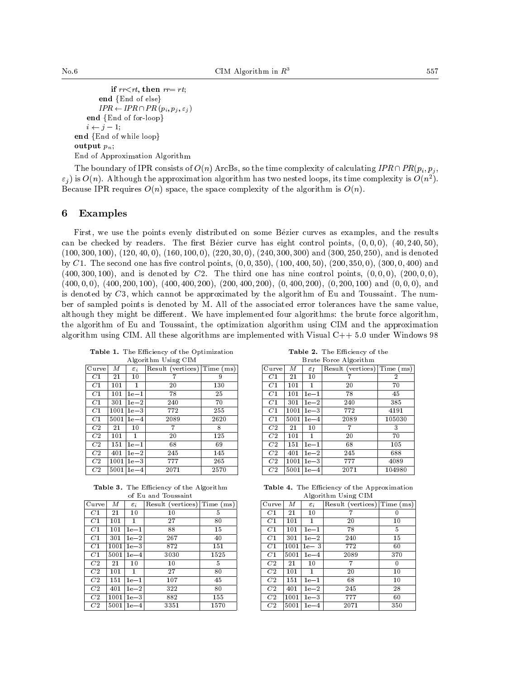```
if rr < rt, then rr = rt;
            end {End of else}IPR \leftarrow IPR \cap PR(p_i, p_j, \varepsilon_j )end and fend of for-loop in the formula of foreign and the formula of \mathcal{E}i \leftarrow j - 1;end fend of while loops are considered feature in the fend of while loops are considered feature in the featur
output p_n;
End of Approximation Algorithm
```
The boundary of IPR consists of  $O(n)$  ArcBs, so the time complexity of calculating  $IPR \cap PR(p_i, p_j, p_j)$  $\varepsilon_i$  ) is  $O(n)$ . Although the approximation algorithm has two nested loops, its time complexity is  $O(n^2)$ . Because IPR requires  $O(n)$  space, the space complexity of the algorithm is  $O(n)$ .

#### **Examples** 6

First, we use the points evenly distributed on some Bezier curves as examples, and the results can be checked by readers. The first Bézier curve has eight control points,  $(0,0,0)$ ,  $(40,240,50)$ ,  $(100, 300, 100), (120, 40, 0), (160, 100, 0), (220, 30, 0), (240, 300, 300)$  and  $(300, 250, 250),$  and is denoted by C1. The second one has five control points,  $(0, 0, 350)$ ,  $(100, 400, 50)$ ,  $(200, 350, 0)$ ,  $(300, 0, 400)$  and  $(400, 300, 100)$ , and is denoted by C2. The third one has nine control points,  $(0, 0, 0)$ ,  $(200, 0, 0)$ ,  $(400, 0, 0)$ ,  $(400, 200, 100)$ ,  $(400, 400, 200)$ ,  $(200, 400, 200)$ ,  $(0, 400, 200)$ ,  $(0, 200, 100)$  and  $(0, 0, 0)$ , and is denoted by  $C3$ , which cannot be approximated by the algorithm of Eu and Toussaint. The number of sampled points is denoted by M. Allof the associated error tolerances have the same value, although they might be different. We have implemented four algorithms: the brute force algorithm, the algorithm of Eu and Toussaint, the optimization algorithm using CIM and the approximation algorithm using CIM. All these algorithms are implemented with Visual  $C++ 5.0$  under Windows 98

| Curve<br>Result (vertices)<br>М<br>Time (ms)<br>$\varepsilon_i$<br>C1<br>7<br>21<br>10<br>9<br>$C_{1}$<br>20<br>130<br>101<br>1<br>C <sub>1</sub><br>25<br>78<br>101<br>$1e-1$<br>C <sub>1</sub><br>70<br>$1e-2$<br>240<br>301<br>C <sub>1</sub><br>772<br>$1e-3$<br>255<br>1001<br>C <sub>1</sub><br>5001<br>2089<br>2620<br>$1e-4$<br>C <sub>2</sub><br>8<br>21<br>10<br>7<br>C2<br>125<br>101<br>20<br>1.<br>C2<br>68<br>151<br>69<br>$1e-1$<br>C2<br>$1e-2$<br>245<br>145<br>401<br>C2<br>777<br>$1e-3$<br>265<br>1001<br>C <sub>2</sub><br>2570<br>5001<br>2071<br>$1e-4$ |  | лидопынни сынд спиг |  |                |
|--------------------------------------------------------------------------------------------------------------------------------------------------------------------------------------------------------------------------------------------------------------------------------------------------------------------------------------------------------------------------------------------------------------------------------------------------------------------------------------------------------------------------------------------------------------------------------|--|---------------------|--|----------------|
|                                                                                                                                                                                                                                                                                                                                                                                                                                                                                                                                                                                |  |                     |  | Curve          |
|                                                                                                                                                                                                                                                                                                                                                                                                                                                                                                                                                                                |  |                     |  | C1             |
|                                                                                                                                                                                                                                                                                                                                                                                                                                                                                                                                                                                |  |                     |  | C1             |
|                                                                                                                                                                                                                                                                                                                                                                                                                                                                                                                                                                                |  |                     |  | C1             |
|                                                                                                                                                                                                                                                                                                                                                                                                                                                                                                                                                                                |  |                     |  | C1             |
|                                                                                                                                                                                                                                                                                                                                                                                                                                                                                                                                                                                |  |                     |  | C1             |
|                                                                                                                                                                                                                                                                                                                                                                                                                                                                                                                                                                                |  |                     |  | C <sub>1</sub> |
|                                                                                                                                                                                                                                                                                                                                                                                                                                                                                                                                                                                |  |                     |  | C2             |
|                                                                                                                                                                                                                                                                                                                                                                                                                                                                                                                                                                                |  |                     |  | C2             |
|                                                                                                                                                                                                                                                                                                                                                                                                                                                                                                                                                                                |  |                     |  | C2             |
|                                                                                                                                                                                                                                                                                                                                                                                                                                                                                                                                                                                |  |                     |  | C2             |
|                                                                                                                                                                                                                                                                                                                                                                                                                                                                                                                                                                                |  |                     |  | C2             |
|                                                                                                                                                                                                                                                                                                                                                                                                                                                                                                                                                                                |  |                     |  | C2             |

Table 1. The Efficiency of the Optimization Algorithm Using CIM

Table 2. The Efficiency of the Brute Force Algorithm

| Curve | М    | $\varepsilon_I$ | Result (vertices) | Time (ms)      |  |
|-------|------|-----------------|-------------------|----------------|--|
| C1    | 21   | 10              |                   | $\overline{2}$ |  |
| C1    | 101  | 1               | 20                | 70             |  |
| C1    | 101  | $1e-1$          | 78                | 45             |  |
| C1    | 301  | $1e-2$          | 240               | 385            |  |
| C1    | 1001 | $1e-3$          | 772               | 4191           |  |
| C1    | 5001 | $1e-4$          | 2089              | 105030         |  |
| C2    | 21   | 10              | 7                 | 3              |  |
| C2    | 101  | 1               | 20                | 70             |  |
| C2    | 151  | $1e-1$          | 68                | 105            |  |
| C2    | 401  | $1e-2$          | 245               | 688            |  |
| C2    | 1001 | $1e-3$          | 777               | 4089           |  |
| C2    | 5001 | $1e-4$          | 2071              | 104980         |  |

Table 3. The Efficiency of the Algorithm

|                |      |                   | of Eu and Toussaint |                               |                 |
|----------------|------|-------------------|---------------------|-------------------------------|-----------------|
| Curve          | М    | $\varepsilon_i$   | Result (vertices)   | $\overline{\text{Time}}$ (ms) | Cu <sub>1</sub> |
| C1             | 21   | 10                | 10                  | 5                             | $\overline{C}$  |
| C1             | 101  |                   | 27                  | 80                            | $\overline{C}$  |
| C <sub>1</sub> | 101  | $1e-1$            | 88                  | 15                            | $\overline{C}$  |
| C <sub>1</sub> | 301  | $1e-2$            | 267                 | 40                            | $\overline{C}$  |
| C1             | 1001 | $1e-3$            | 872                 | 151                           | $\overline{C}$  |
| C1             | 5001 | $1e-4$            | 3030                | 1525                          | $\overline{C}$  |
| C2             | 21   | 10                | 10                  | 5                             | $\overline{C}$  |
| C2             | 101  |                   | 27                  | 80                            | $\overline{C}$  |
| C2             | 151  | $1e-1$            | 107                 | 45                            | $\overline{C}$  |
| C2             | 401  | $1e-2$            | 322                 | 80                            | $\overline{C}$  |
| C2             | 1001 | $1e-3$            | 882                 | 155                           | $\overline{C}$  |
| C2             | 5001 | $1\mathrm{e}{-4}$ | 3351                | 1570                          | C               |

Table 4. The Efficiency of the Approximation  $24.1$ 

| Algoriumin Using Unii |      |                 |                   |           |
|-----------------------|------|-----------------|-------------------|-----------|
| Curve                 | М    | $\varepsilon_i$ | Result (vertices) | Time (ms) |
| C1                    | 21   | 10              | 7                 |           |
| C1                    | 101  |                 | 20                | 10        |
| C1                    | 101  | $1e-1$          | 78                | 5         |
| C <sub>1</sub>        | 301  | $1e-2$          | 240               | 15        |
| C1                    | 1001 | $1e-3$          | 772               | 60        |
| C1                    | 5001 | $1e-4$          | 2089              | 370       |
| C <sub>2</sub>        | 21   | 10              | 7                 | 0         |
| C <sub>2</sub>        | 101  |                 | 20                | 10        |
| C2                    | 151  | $1e-1$          | 68                | 10        |
| C <sub>2</sub>        | 401  | $1e-2$          | 245               | 28        |
| C <sub>2</sub>        | 1001 | $1e-3$          | 777               | 60        |
| C2                    | 5001 | $1e-4$          | 2071              | 350       |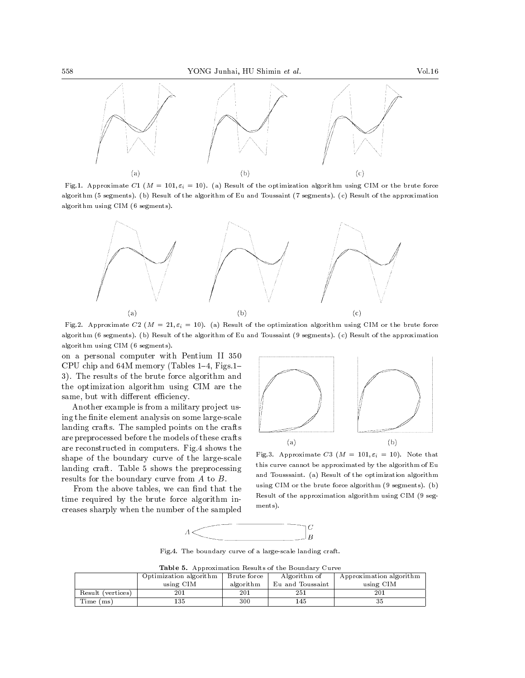

Fig.1. Approximate C1 ( $M = 101$ ,  $\varepsilon_i = 10$ ). (a) Result of the optimization algorithm using CIM or the brute force algorithm (5 segments). (b) Result of the algorithm of Eu and Toussaint (7 segments). (c) Result of the approximation algorithm using CIM (6 segments).



Fig.2. Approximate C2 ( $M = 21$ ,  $\varepsilon_i = 10$ ). (a) Result of the optimization algorithm using CIM or the brute force algorithm (6 segments). (b) Result of the algorithm of Eu and Toussaint (9 segments). (c) Result of the approximation algorithm using CIM (6 segments).

on a personal computer with Pentium II 350 CPU chip and  $64M$  memory (Tables 1-4, Figs.1-3). The results of the brute force algorithm and the optimization algorithm using CIM are the same, but with different efficiency.

Another example is from a military project using the finite element analysis on some large-scale landing crafts. The sampled points on the crafts are preprocessed before the models of these crafts are reconstructed in computers. Fig.4 shows the shape of the boundary curve of the large-scale landing craft. Table 5 shows the preprocessing results for the boundary curve from A to B.

From the above tables, we can find that the time required by the brute force algorithm in creases sharply when the number of the sampled



Fig.3. Approximate C3 ( $M = 101$ ,  $\varepsilon_i = 10$ ). Note that this curve cannot be approximated by the algorithm of Eu and Tousssaint. (a) Result of the optimization algorithm using CIM or the brute force algorithm (9 segments). (b) Result of the approximation algorithm using CIM (9 seg ments).



Fig.4. The boundary curve of a large-scale landing craft.

Table 5. Approximation Results of the Boundary Curve

|                           | Optimization algorithm | Brute force | Algorithm of     | Approximation algorithm |  |  |  |
|---------------------------|------------------------|-------------|------------------|-------------------------|--|--|--|
|                           | using CIM              | algorithm   | Eu and Toussaint | using CIM               |  |  |  |
| Result (vertices)         | 201                    | 201         | 251              | 201                     |  |  |  |
| Time <sub>1</sub><br>(ms) | 135                    | 300         | . 45             | ن ف                     |  |  |  |